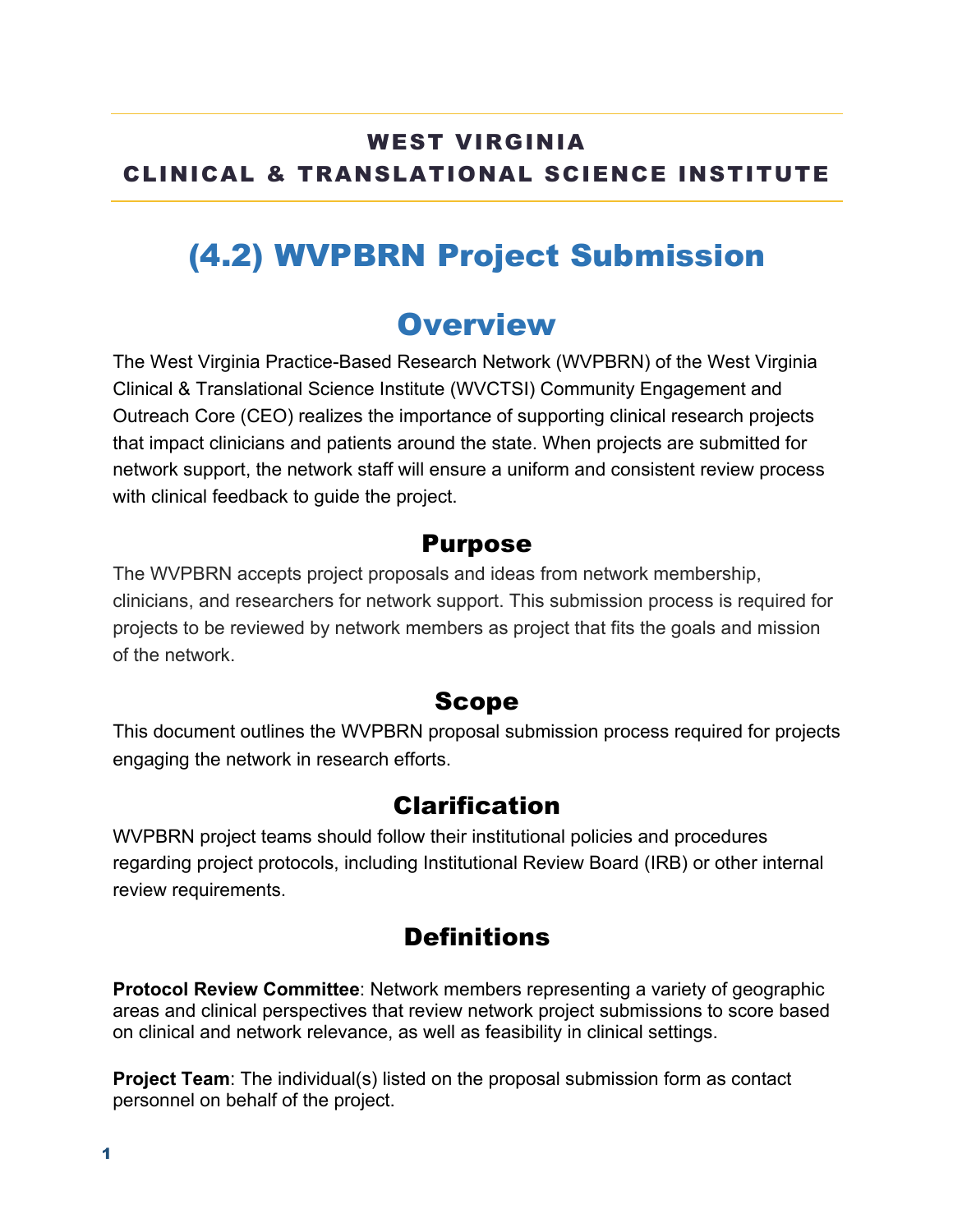## WEST VIRGINIA CLINICAL & TRANSLATIONAL SCIENCE INSTITUTE

# (4.2) WVPBRN Project Submission

## **Overview**

The West Virginia Practice-Based Research Network (WVPBRN) of the West Virginia Clinical & Translational Science Institute (WVCTSI) Community Engagement and Outreach Core (CEO) realizes the importance of supporting clinical research projects that impact clinicians and patients around the state. When projects are submitted for network support, the network staff will ensure a uniform and consistent review process with clinical feedback to guide the project.

#### Purpose

The WVPBRN accepts project proposals and ideas from network membership, clinicians, and researchers for network support. This submission process is required for projects to be reviewed by network members as project that fits the goals and mission of the network.

### Scope

This document outlines the WVPBRN proposal submission process required for projects engaging the network in research efforts.

### Clarification

WVPBRN project teams should follow their institutional policies and procedures regarding project protocols, including Institutional Review Board (IRB) or other internal review requirements.

## **Definitions**

**Protocol Review Committee**: Network members representing a variety of geographic areas and clinical perspectives that review network project submissions to score based on clinical and network relevance, as well as feasibility in clinical settings.

**Project Team:** The individual(s) listed on the proposal submission form as contact personnel on behalf of the project.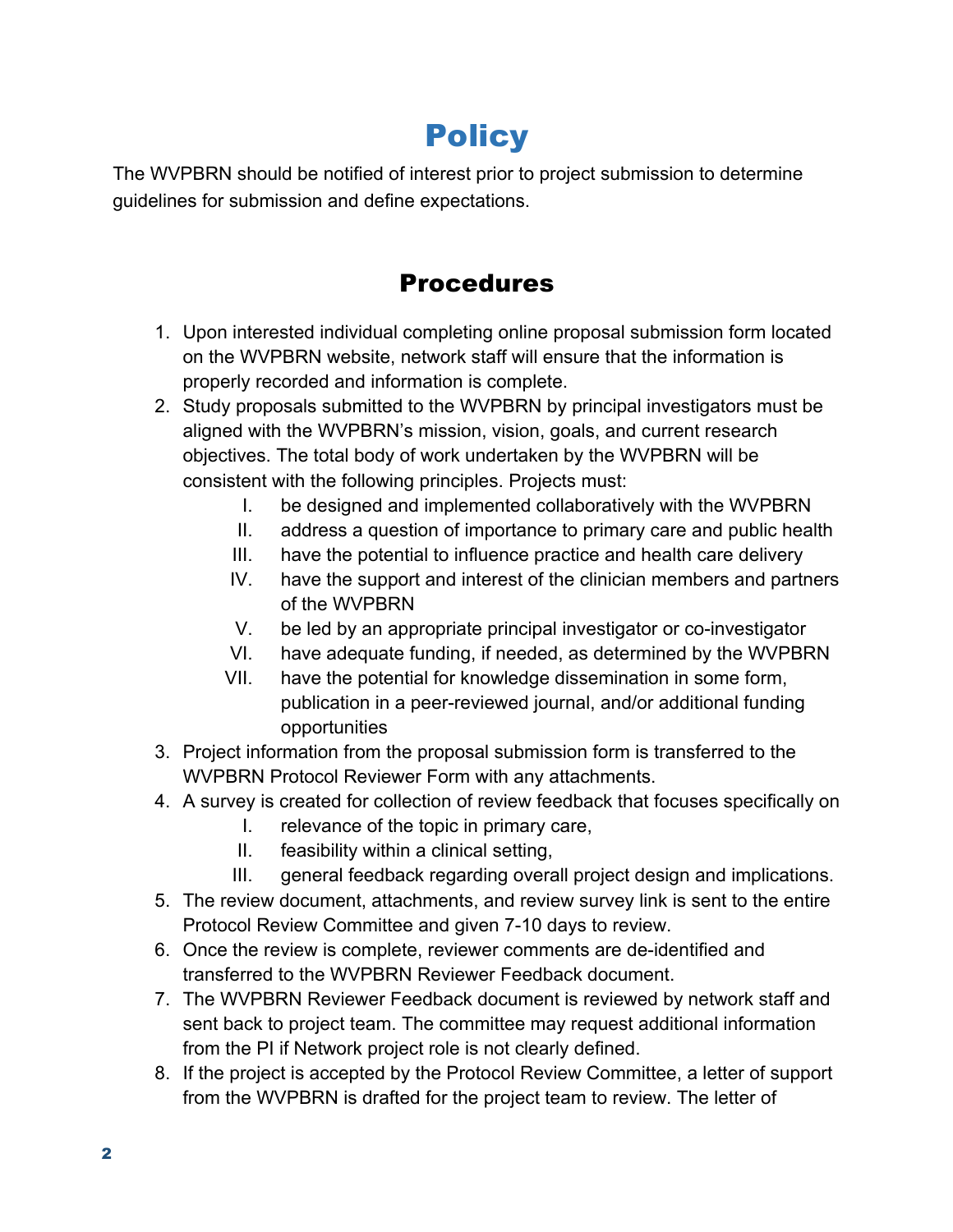# **Policy**

The WVPBRN should be notified of interest prior to project submission to determine guidelines for submission and define expectations.

## Procedures

- 1. Upon interested individual completing online proposal submission form located on the WVPBRN website, network staff will ensure that the information is properly recorded and information is complete.
- 2. Study proposals submitted to the WVPBRN by principal investigators must be aligned with the WVPBRN's mission, vision, goals, and current research objectives. The total body of work undertaken by the WVPBRN will be consistent with the following principles. Projects must:
	- I. be designed and implemented collaboratively with the WVPBRN
	- II. address a question of importance to primary care and public health
	- III. have the potential to influence practice and health care delivery
	- IV. have the support and interest of the clinician members and partners of the WVPBRN
	- V. be led by an appropriate principal investigator or co-investigator
	- VI. have adequate funding, if needed, as determined by the WVPBRN
	- VII. have the potential for knowledge dissemination in some form, publication in a peer-reviewed journal, and/or additional funding opportunities
- 3. Project information from the proposal submission form is transferred to the WVPBRN Protocol Reviewer Form with any attachments.
- 4. A survey is created for collection of review feedback that focuses specifically on
	- I. relevance of the topic in primary care,
	- II. feasibility within a clinical setting,
	- III. general feedback regarding overall project design and implications.
- 5. The review document, attachments, and review survey link is sent to the entire Protocol Review Committee and given 7-10 days to review.
- 6. Once the review is complete, reviewer comments are de-identified and transferred to the WVPBRN Reviewer Feedback document.
- 7. The WVPBRN Reviewer Feedback document is reviewed by network staff and sent back to project team. The committee may request additional information from the PI if Network project role is not clearly defined.
- 8. If the project is accepted by the Protocol Review Committee, a letter of support from the WVPBRN is drafted for the project team to review. The letter of